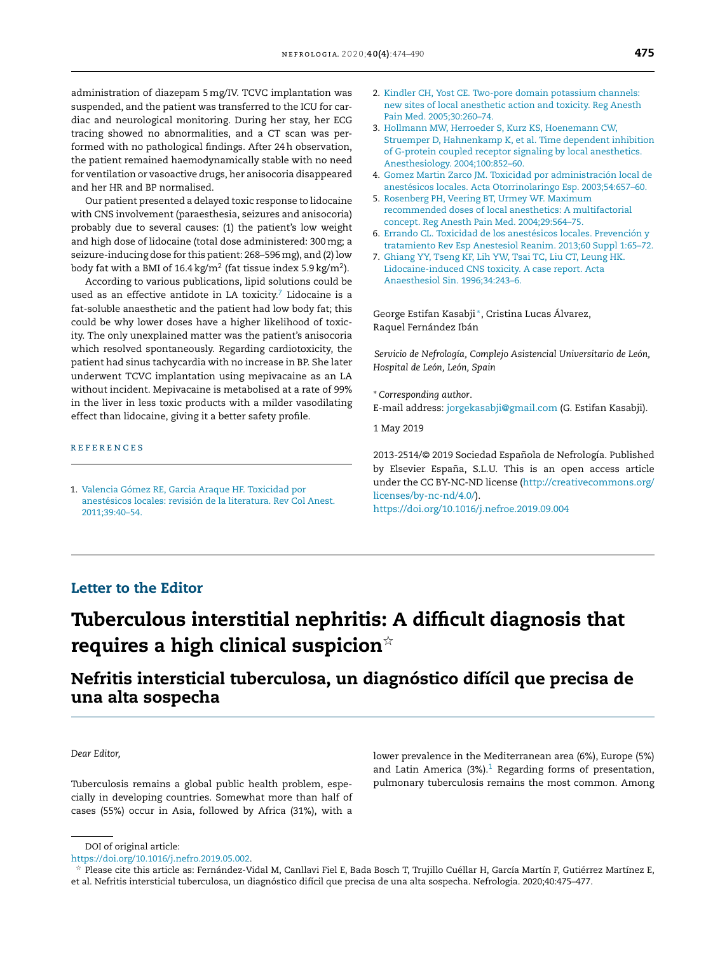administration of diazepam 5 mg/IV. TCVC implantation was suspended, and the patient was transferred to the ICU for cardiac and neurological monitoring. During her stay, her ECG tracing showed no abnormalities, and a CT scan was performed with no pathological findings. After 24h observation, the patient remained haemodynamically stable with no need for ventilation or vasoactive drugs, her anisocoria disappeared and her HR and BP normalised.

Our patient presented a delayed toxic response to lidocaine with CNS involvement (paraesthesia, seizures and anisocoria) probably due to several causes: (1) the patient's low weight and high dose of lidocaine (total dose administered: 300mg; a seizure-inducing dose for this patient: 268–596mg), and (2) low body fat with a BMI of 16.4 kg/m $^2$  (fat tissue index 5.9 kg/m $^2$ ).

According to various publications, lipid solutions could be used as an effective antidote in LA toxicity. $7$  Lidocaine is a fat-soluble anaesthetic and the patient had low body fat; this could be why lower doses have a higher likelihood of toxicity. The only unexplained matter was the patient's anisocoria which resolved spontaneously. Regarding cardiotoxicity, the patient had sinus tachycardia with no increase in BP. She later underwent TCVC implantation using mepivacaine as an LA without incident. Mepivacaine is metabolised at a rate of 99% in the liver in less toxic products with a milder vasodilating effect than lidocaine, giving it a better safety profile.

#### **REFERENCES**

1. [Valencia](http://refhub.elsevier.com/S2013-2514(20)30101-2/sbref0005) [Gómez](http://refhub.elsevier.com/S2013-2514(20)30101-2/sbref0005) [RE,](http://refhub.elsevier.com/S2013-2514(20)30101-2/sbref0005) [Garcia](http://refhub.elsevier.com/S2013-2514(20)30101-2/sbref0005) [Araque](http://refhub.elsevier.com/S2013-2514(20)30101-2/sbref0005) [HF.](http://refhub.elsevier.com/S2013-2514(20)30101-2/sbref0005) [Toxicidad](http://refhub.elsevier.com/S2013-2514(20)30101-2/sbref0005) [por](http://refhub.elsevier.com/S2013-2514(20)30101-2/sbref0005) [anestésicos](http://refhub.elsevier.com/S2013-2514(20)30101-2/sbref0005) [locales:](http://refhub.elsevier.com/S2013-2514(20)30101-2/sbref0005) [revisión](http://refhub.elsevier.com/S2013-2514(20)30101-2/sbref0005) [de](http://refhub.elsevier.com/S2013-2514(20)30101-2/sbref0005) [la](http://refhub.elsevier.com/S2013-2514(20)30101-2/sbref0005) [literatura.](http://refhub.elsevier.com/S2013-2514(20)30101-2/sbref0005) [Rev](http://refhub.elsevier.com/S2013-2514(20)30101-2/sbref0005) [Col](http://refhub.elsevier.com/S2013-2514(20)30101-2/sbref0005) [Anest.](http://refhub.elsevier.com/S2013-2514(20)30101-2/sbref0005) [2011;39:40–54.](http://refhub.elsevier.com/S2013-2514(20)30101-2/sbref0005)

- 2. [Kindler](http://refhub.elsevier.com/S2013-2514(20)30101-2/sbref0010) [CH,](http://refhub.elsevier.com/S2013-2514(20)30101-2/sbref0010) [Yost](http://refhub.elsevier.com/S2013-2514(20)30101-2/sbref0010) [CE.](http://refhub.elsevier.com/S2013-2514(20)30101-2/sbref0010) [Two-pore](http://refhub.elsevier.com/S2013-2514(20)30101-2/sbref0010) [domain](http://refhub.elsevier.com/S2013-2514(20)30101-2/sbref0010) [potassium](http://refhub.elsevier.com/S2013-2514(20)30101-2/sbref0010) [channels:](http://refhub.elsevier.com/S2013-2514(20)30101-2/sbref0010) [new](http://refhub.elsevier.com/S2013-2514(20)30101-2/sbref0010) [sites](http://refhub.elsevier.com/S2013-2514(20)30101-2/sbref0010) [of](http://refhub.elsevier.com/S2013-2514(20)30101-2/sbref0010) [local](http://refhub.elsevier.com/S2013-2514(20)30101-2/sbref0010) [anesthetic](http://refhub.elsevier.com/S2013-2514(20)30101-2/sbref0010) [action](http://refhub.elsevier.com/S2013-2514(20)30101-2/sbref0010) [and](http://refhub.elsevier.com/S2013-2514(20)30101-2/sbref0010) [toxicity.](http://refhub.elsevier.com/S2013-2514(20)30101-2/sbref0010) [Reg](http://refhub.elsevier.com/S2013-2514(20)30101-2/sbref0010) [Anesth](http://refhub.elsevier.com/S2013-2514(20)30101-2/sbref0010) [Pain](http://refhub.elsevier.com/S2013-2514(20)30101-2/sbref0010) [Med.](http://refhub.elsevier.com/S2013-2514(20)30101-2/sbref0010) [2005;30:260–74.](http://refhub.elsevier.com/S2013-2514(20)30101-2/sbref0010)
- 3. [Hollmann](http://refhub.elsevier.com/S2013-2514(20)30101-2/sbref0015) [MW,](http://refhub.elsevier.com/S2013-2514(20)30101-2/sbref0015) [Herroeder](http://refhub.elsevier.com/S2013-2514(20)30101-2/sbref0015) [S,](http://refhub.elsevier.com/S2013-2514(20)30101-2/sbref0015) [Kurz](http://refhub.elsevier.com/S2013-2514(20)30101-2/sbref0015) [KS,](http://refhub.elsevier.com/S2013-2514(20)30101-2/sbref0015) [Hoenemann](http://refhub.elsevier.com/S2013-2514(20)30101-2/sbref0015) [CW,](http://refhub.elsevier.com/S2013-2514(20)30101-2/sbref0015) [Struemper](http://refhub.elsevier.com/S2013-2514(20)30101-2/sbref0015) [D,](http://refhub.elsevier.com/S2013-2514(20)30101-2/sbref0015) [Hahnenkamp](http://refhub.elsevier.com/S2013-2514(20)30101-2/sbref0015) [K,](http://refhub.elsevier.com/S2013-2514(20)30101-2/sbref0015) [et](http://refhub.elsevier.com/S2013-2514(20)30101-2/sbref0015) [al.](http://refhub.elsevier.com/S2013-2514(20)30101-2/sbref0015) [Time](http://refhub.elsevier.com/S2013-2514(20)30101-2/sbref0015) [dependent](http://refhub.elsevier.com/S2013-2514(20)30101-2/sbref0015) [inhibition](http://refhub.elsevier.com/S2013-2514(20)30101-2/sbref0015) [of](http://refhub.elsevier.com/S2013-2514(20)30101-2/sbref0015) [G-protein](http://refhub.elsevier.com/S2013-2514(20)30101-2/sbref0015) [coupled](http://refhub.elsevier.com/S2013-2514(20)30101-2/sbref0015) [receptor](http://refhub.elsevier.com/S2013-2514(20)30101-2/sbref0015) [signaling](http://refhub.elsevier.com/S2013-2514(20)30101-2/sbref0015) [by](http://refhub.elsevier.com/S2013-2514(20)30101-2/sbref0015) [local](http://refhub.elsevier.com/S2013-2514(20)30101-2/sbref0015) [anesthetics.](http://refhub.elsevier.com/S2013-2514(20)30101-2/sbref0015) [Anesthesiology.](http://refhub.elsevier.com/S2013-2514(20)30101-2/sbref0015) [2004;100:852–60.](http://refhub.elsevier.com/S2013-2514(20)30101-2/sbref0015)
- 4. [Gomez](http://refhub.elsevier.com/S2013-2514(20)30101-2/sbref0020) [Martin](http://refhub.elsevier.com/S2013-2514(20)30101-2/sbref0020) [Zarco](http://refhub.elsevier.com/S2013-2514(20)30101-2/sbref0020) [JM.](http://refhub.elsevier.com/S2013-2514(20)30101-2/sbref0020) [Toxicidad](http://refhub.elsevier.com/S2013-2514(20)30101-2/sbref0020) [por](http://refhub.elsevier.com/S2013-2514(20)30101-2/sbref0020) [administración](http://refhub.elsevier.com/S2013-2514(20)30101-2/sbref0020) [local](http://refhub.elsevier.com/S2013-2514(20)30101-2/sbref0020) [de](http://refhub.elsevier.com/S2013-2514(20)30101-2/sbref0020) [anestésicos](http://refhub.elsevier.com/S2013-2514(20)30101-2/sbref0020) [locales.](http://refhub.elsevier.com/S2013-2514(20)30101-2/sbref0020) [Acta](http://refhub.elsevier.com/S2013-2514(20)30101-2/sbref0020) [Otorrinolaringo](http://refhub.elsevier.com/S2013-2514(20)30101-2/sbref0020) [Esp](http://refhub.elsevier.com/S2013-2514(20)30101-2/sbref0020). [2003;54:657–60.](http://refhub.elsevier.com/S2013-2514(20)30101-2/sbref0020)
- 5. [Rosenberg](http://refhub.elsevier.com/S2013-2514(20)30101-2/sbref0025) [PH,](http://refhub.elsevier.com/S2013-2514(20)30101-2/sbref0025) [Veering](http://refhub.elsevier.com/S2013-2514(20)30101-2/sbref0025) [BT,](http://refhub.elsevier.com/S2013-2514(20)30101-2/sbref0025) [Urmey](http://refhub.elsevier.com/S2013-2514(20)30101-2/sbref0025) [WF.](http://refhub.elsevier.com/S2013-2514(20)30101-2/sbref0025) [Maximum](http://refhub.elsevier.com/S2013-2514(20)30101-2/sbref0025) [recommended](http://refhub.elsevier.com/S2013-2514(20)30101-2/sbref0025) [doses](http://refhub.elsevier.com/S2013-2514(20)30101-2/sbref0025) [of](http://refhub.elsevier.com/S2013-2514(20)30101-2/sbref0025) [local](http://refhub.elsevier.com/S2013-2514(20)30101-2/sbref0025) [anesthetics:](http://refhub.elsevier.com/S2013-2514(20)30101-2/sbref0025) [A](http://refhub.elsevier.com/S2013-2514(20)30101-2/sbref0025) [multifactorial](http://refhub.elsevier.com/S2013-2514(20)30101-2/sbref0025) [concept.](http://refhub.elsevier.com/S2013-2514(20)30101-2/sbref0025) [Reg](http://refhub.elsevier.com/S2013-2514(20)30101-2/sbref0025) [Anesth](http://refhub.elsevier.com/S2013-2514(20)30101-2/sbref0025) [Pain](http://refhub.elsevier.com/S2013-2514(20)30101-2/sbref0025) [Med.](http://refhub.elsevier.com/S2013-2514(20)30101-2/sbref0025) [2004;29:564–75.](http://refhub.elsevier.com/S2013-2514(20)30101-2/sbref0025)
- 6. [Errando](http://refhub.elsevier.com/S2013-2514(20)30101-2/sbref0030) [CL.](http://refhub.elsevier.com/S2013-2514(20)30101-2/sbref0030) [Toxicidad](http://refhub.elsevier.com/S2013-2514(20)30101-2/sbref0030) [de](http://refhub.elsevier.com/S2013-2514(20)30101-2/sbref0030) [los](http://refhub.elsevier.com/S2013-2514(20)30101-2/sbref0030) [anestésicos](http://refhub.elsevier.com/S2013-2514(20)30101-2/sbref0030) [locales.](http://refhub.elsevier.com/S2013-2514(20)30101-2/sbref0030) [Prevención](http://refhub.elsevier.com/S2013-2514(20)30101-2/sbref0030) [y](http://refhub.elsevier.com/S2013-2514(20)30101-2/sbref0030) [tratamiento](http://refhub.elsevier.com/S2013-2514(20)30101-2/sbref0030) [Rev](http://refhub.elsevier.com/S2013-2514(20)30101-2/sbref0030) [Esp](http://refhub.elsevier.com/S2013-2514(20)30101-2/sbref0030) [Anestesiol](http://refhub.elsevier.com/S2013-2514(20)30101-2/sbref0030) [Reanim.](http://refhub.elsevier.com/S2013-2514(20)30101-2/sbref0030) [2013;60](http://refhub.elsevier.com/S2013-2514(20)30101-2/sbref0030) [Suppl](http://refhub.elsevier.com/S2013-2514(20)30101-2/sbref0030) [1:65–72.](http://refhub.elsevier.com/S2013-2514(20)30101-2/sbref0030)
- 7. [Ghiang](http://refhub.elsevier.com/S2013-2514(20)30101-2/sbref0035) [YY,](http://refhub.elsevier.com/S2013-2514(20)30101-2/sbref0035) [Tseng](http://refhub.elsevier.com/S2013-2514(20)30101-2/sbref0035) [KF,](http://refhub.elsevier.com/S2013-2514(20)30101-2/sbref0035) [Lih](http://refhub.elsevier.com/S2013-2514(20)30101-2/sbref0035) [YW,](http://refhub.elsevier.com/S2013-2514(20)30101-2/sbref0035) [Tsai](http://refhub.elsevier.com/S2013-2514(20)30101-2/sbref0035) [TC,](http://refhub.elsevier.com/S2013-2514(20)30101-2/sbref0035) [Liu](http://refhub.elsevier.com/S2013-2514(20)30101-2/sbref0035) [CT,](http://refhub.elsevier.com/S2013-2514(20)30101-2/sbref0035) [Leung](http://refhub.elsevier.com/S2013-2514(20)30101-2/sbref0035) [HK.](http://refhub.elsevier.com/S2013-2514(20)30101-2/sbref0035) [Lidocaine-induced](http://refhub.elsevier.com/S2013-2514(20)30101-2/sbref0035) [CNS](http://refhub.elsevier.com/S2013-2514(20)30101-2/sbref0035) [toxicity.](http://refhub.elsevier.com/S2013-2514(20)30101-2/sbref0035) [A](http://refhub.elsevier.com/S2013-2514(20)30101-2/sbref0035) [case](http://refhub.elsevier.com/S2013-2514(20)30101-2/sbref0035) [report.](http://refhub.elsevier.com/S2013-2514(20)30101-2/sbref0035) [Acta](http://refhub.elsevier.com/S2013-2514(20)30101-2/sbref0035) [Anaesthesiol](http://refhub.elsevier.com/S2013-2514(20)30101-2/sbref0035) [Sin.](http://refhub.elsevier.com/S2013-2514(20)30101-2/sbref0035) [1996;34:243–6.](http://refhub.elsevier.com/S2013-2514(20)30101-2/sbref0035)

George Estifan Kasabji <sup>∗</sup> , Cristina Lucas Álvarez, Raquel Fernández Ibán

*Servicio de Nefrología, Complejo Asistencial Universitario de León, Hospital de León, León, Spain*

<sup>∗</sup> *Corresponding author*.

E-mail address: [jorgekasabji@gmail.com](mailto:jorgekasabji@gmail.com) (G. Estifan Kasabji).

1 May 2019

2013-2514/© 2019 Sociedad Española de Nefrología. Published by Elsevier España, S.L.U. This is an open access article under the CC BY-NC-ND license [\(http://creativecommons.org/](http://creativecommons.org/licenses/by-nc-nd/4.0/) [licenses/by-nc-nd/4.0/\)](http://creativecommons.org/licenses/by-nc-nd/4.0/).

<https://doi.org/10.1016/j.nefroe.2019.09.004>

## Letter to the Editor

# Tuberculous interstitial nephritis: A difficult diagnosis that requires a high clinical suspicion $^{\scriptscriptstyle\mathrm{\mathop{\times}}}$

## Nefritis intersticial tuberculosa, un diagnóstico difícil que precisa de una alta sospecha

*Dear Editor,*

Tuberculosis remains a global public health problem, especially in developing countries. Somewhat more than half of cases (55%) occur in Asia, followed by Africa (31%), with a lower prevalence in the Mediterranean area (6%), Europe (5%) and Latin America (3%). $1$  Regarding forms of presentation, pulmonary tuberculosis remains the most common. Among

DOI of original article:

[https://doi.org/10.1016/j.nefro.2019.05.002.](https://doi.org/10.1016/j.nefro.2019.05.002)

 $^\star$  Please cite this article as: Fernández-Vidal M, Canllavi Fiel E, Bada Bosch T, Trujillo Cuéllar H, García Martín F, Gutiérrez Martínez E, et al. Nefritis intersticial tuberculosa, un diagnóstico difícil que precisa de una alta sospecha. Nefrologia. 2020;40:475–477.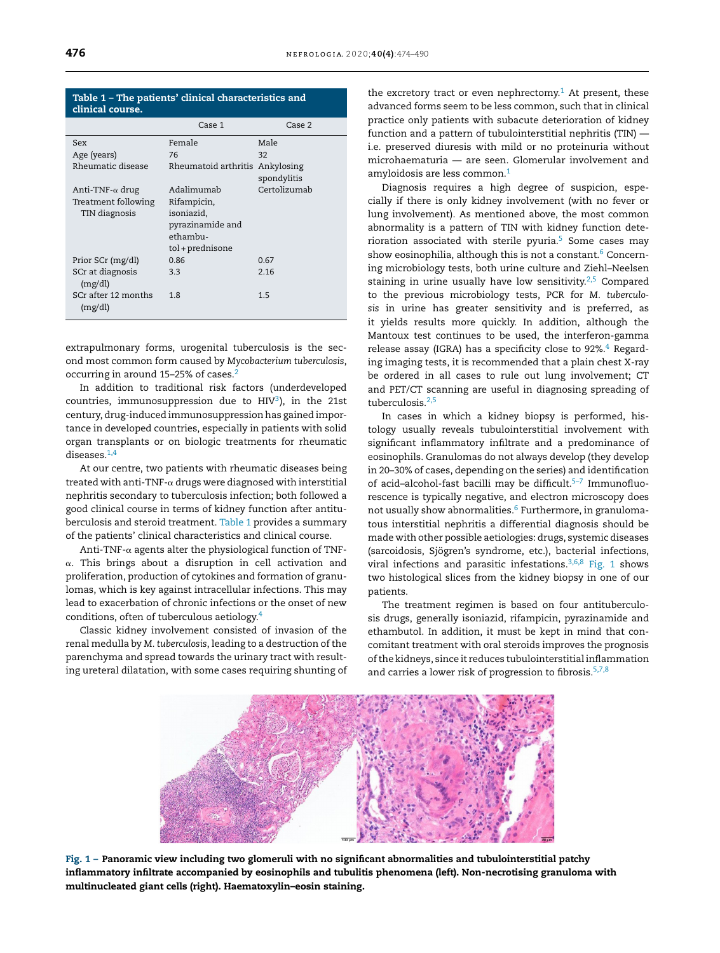| clinical course.                     |                                                                               |                           |
|--------------------------------------|-------------------------------------------------------------------------------|---------------------------|
|                                      | Case 1                                                                        | Case 2                    |
| Sex                                  | Female                                                                        | Male                      |
| Age (years)                          | 76                                                                            | 32                        |
| Rheumatic disease                    | Rheumatoid arthritis                                                          | Ankylosing<br>spondylitis |
| Anti-TNF- $\alpha$ drug              | Adalimumab                                                                    | Certolizumab              |
| Treatment following<br>TIN diagnosis | Rifampicin,<br>isoniazid,<br>pyrazinamide and<br>ethambu-<br>tol + prednisone |                           |
| Prior SCr (mg/dl)                    | 0.86                                                                          | 0.67                      |
| SCr at diagnosis<br>(mg/dl)          | 3.3                                                                           | 2.16                      |
| SCr after 12 months<br>(mg/dl)       | 1.8                                                                           | 1.5                       |

Table 1 – The patients' clinical characteristics and

extrapulmonary forms, urogenital tuberculosis is the second most common form caused by *Mycobacterium tuberculosis*, occurring in around 15–25% of cases.[2](#page-2-0)

In addition to traditional risk factors (underdeveloped countries, immunosuppression due to HIV $^3$ [\),](#page-2-0) in the 21st century, drug-induced immunosuppression has gained importance in developed countries, especially in patients with solid organ transplants or on biologic treatments for rheumatic diseases.<sup>[1,4](#page-2-0)</sup>

At our centre, two patients with rheumatic diseases being treated with anti-TNF- $\alpha$  drugs were diagnosed with interstitial nephritis secondary to tuberculosis infection; both followed a good clinical course in terms of kidney function after antituberculosis and steroid treatment. Table 1 provides a summary of the patients' clinical characteristics and clinical course.

 $Anti\text{-}TNF\text{-}\alpha$  agents alter the physiological function of  $TNF\text{-}$  $\alpha$ . This brings about a disruption in cell activation and proliferation, production of cytokines and formation of granulomas, which is key against intracellular infections. This may lead to exacerbation of chronic infections or the onset of new conditions, often of tuberculous aetiology.[4](#page-2-0)

Classic kidney involvement consisted of invasion of the renal medulla by *M. tuberculosis*, leading to a destruction of the parenchyma and spread towards the urinary tract with resulting ureteral dilatation, with some cases requiring shunting of the excretory tract or even nephrectomy.<sup>[1](#page-2-0)</sup> At present, these advanced forms seem to be less common, such that in clinical practice only patients with subacute deterioration of kidney function and a pattern of tubulointerstitial nephritis (TIN) i.e. preserved diuresis with mild or no proteinuria without microhaematuria — are seen. Glomerular involvement and amyloidosis are less common.[1](#page-2-0)

Diagnosis requires a high degree of suspicion, especially if there is only kidney involvement (with no fever or lung involvement). As mentioned above, the most common abnormality is a pattern of TIN with kidney function deterioration associated with sterile pyuria.[5](#page-2-0) Some cases may show eosinophilia, although this is not a constant.<sup>[6](#page-2-0)</sup> Concerning microbiology tests, both urine culture and Ziehl–Neelsen staining in urine usually have low sensitivity. $2,5$  Compared to the previous microbiology tests, PCR for *M. tuberculosis* in urine has greater sensitivity and is preferred, as it yields results more quickly. In addition, although the Mantoux test continues to be used, the interferon-gamma release assay (IGRA) has a specificity close to 92%.<sup>[4](#page-2-0)</sup> Regarding imaging tests, it is recommended that a plain chest X-ray be ordered in all cases to rule out lung involvement; CT and PET/CT scanning are useful in diagnosing spreading of tuberculosis.<sup>[2,5](#page-2-0)</sup>

In cases in which a kidney biopsy is performed, histology usually reveals tubulointerstitial involvement with significant inflammatory infiltrate and a predominance of eosinophils. Granulomas do not always develop (they develop in 20–30% of cases, depending on the series) and identification of acid-alcohol-fast bacilli may be difficult.<sup>5-7</sup> Immunofluorescence is typically negative, and electron microscopy does not usually show abnormalities.<sup>6</sup> [F](#page-2-0)urthermore, in granulomatous interstitial nephritis a differential diagnosis should be made with other possible aetiologies: drugs, systemic diseases (sarcoidosis, Sjögren's syndrome, etc.), bacterial infections, viral infections and parasitic infestations. $3,6,8$  Fig. 1 shows two histological slices from the kidney biopsy in one of our patients.

The treatment regimen is based on four antituberculosis drugs, generally isoniazid, rifampicin, pyrazinamide and ethambutol. In addition, it must be kept in mind that concomitant treatment with oral steroids improves the prognosis ofthe kidneys, since it reduces tubulointerstitial inflammation and carries a lower risk of progression to fibrosis. $5,7,8$ 



Fig. 1 – Panoramic view including two glomeruli with no significant abnormalities and tubulointerstitial patchy inflammatory infiltrate accompanied by eosinophils and tubulitis phenomena (left). Non-necrotising granuloma with multinucleated giant cells (right). Haematoxylin–eosin staining.